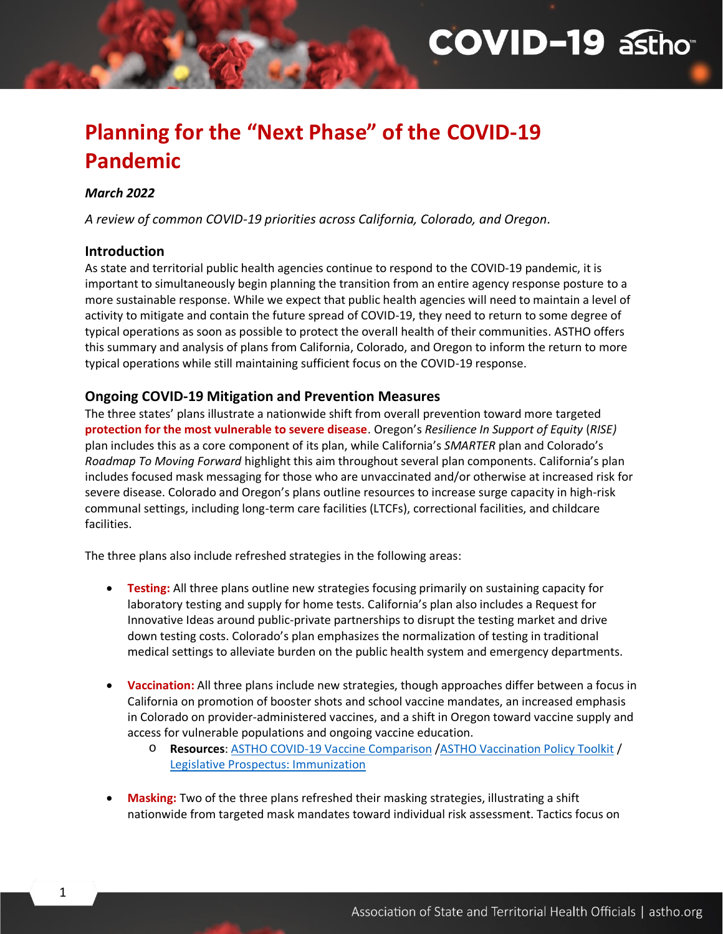# **COVID-19 astho**

# **Planning for the "Next Phase" of the COVID-19 Pandemic**

#### *March 2022*

*A review of common COVID-19 priorities across California, Colorado, and Oregon.*

#### **Introduction**

As state and territorial public health agencies continue to respond to the COVID-19 pandemic, it is important to simultaneously begin planning the transition from an entire agency response posture to a more sustainable response. While we expect that public health agencies will need to maintain a level of activity to mitigate and contain the future spread of COVID-19, they need to return to some degree of typical operations as soon as possible to protect the overall health of their communities. ASTHO offers this summary and analysis of plans from California, Colorado, and Oregon to inform the return to more typical operations while still maintaining sufficient focus on the COVID-19 response.

## **Ongoing COVID-19 Mitigation and Prevention Measures**

The three states' plans illustrate a nationwide shift from overall prevention toward more targeted **protection for the most vulnerable to severe disease**. Oregon's *Resilience In Support of Equity* (*RISE)* plan includes this as a core component of its plan, while California's *SMARTER* plan and Colorado's *Roadmap To Moving Forward* highlight this aim throughout several plan components. California's plan includes focused mask messaging for those who are unvaccinated and/or otherwise at increased risk for severe disease. Colorado and Oregon's plans outline resources to increase surge capacity in high-risk communal settings, including long-term care facilities (LTCFs), correctional facilities, and childcare facilities.

The three plans also include refreshed strategies in the following areas:

- **Testing:** All three plans outline new strategies focusing primarily on sustaining capacity for laboratory testing and supply for home tests. California's plan also includes a Request for Innovative Ideas around public-private partnerships to disrupt the testing market and drive down testing costs. Colorado's plan emphasizes the normalization of testing in traditional medical settings to alleviate burden on the public health system and emergency departments.
- **Vaccination:** All three plans include new strategies, though approaches differ between a focus in California on promotion of booster shots and school vaccine mandates, an increased emphasis in Colorado on provider-administered vaccines, and a shift in Oregon toward vaccine supply and access for vulnerable populations and ongoing vaccine education.
	- o **Resources**: [ASTHO COVID-19 Vaccine Comparison](https://www.astho.org/globalassets/pdf/covid/covid-19-vaccine-comparison.pdf) [/ASTHO Vaccination Policy Toolkit](https://astho1.informz.net/ASTHO1/data/images/Vaccine%20Policy%20Toolkit_FINAL.pdf) / [Legislative Prospectus: Immunization](https://www.astho.org/advocacy/state-health-policy/legislative-prospectus-series/immunization/)
- **Masking:** Two of the three plans refreshed their masking strategies, illustrating a shift nationwide from targeted mask mandates toward individual risk assessment. Tactics focus on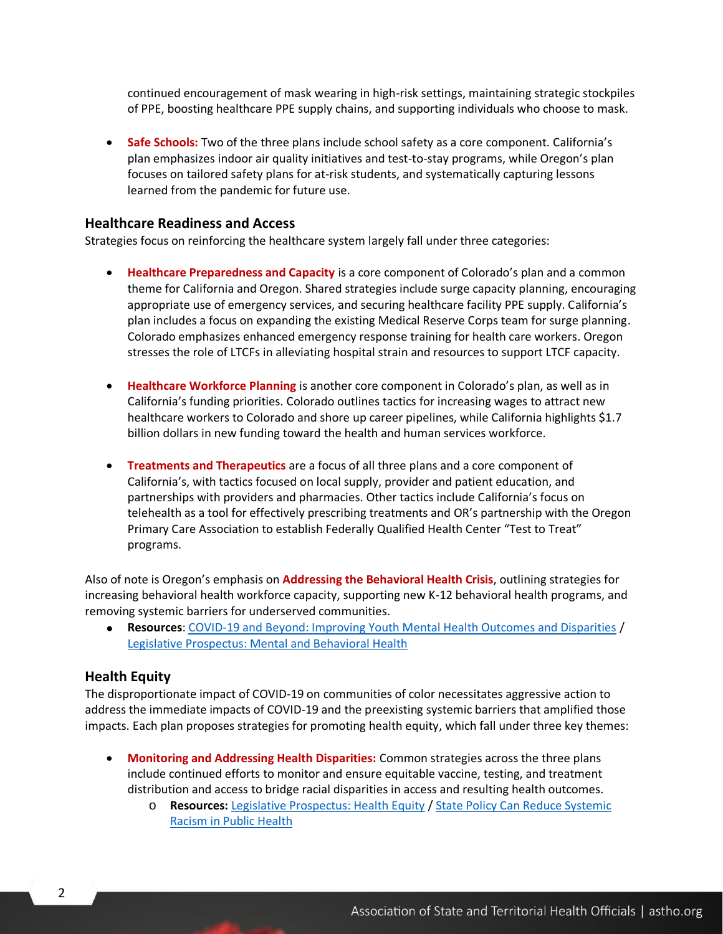continued encouragement of mask wearing in high-risk settings, maintaining strategic stockpiles of PPE, boosting healthcare PPE supply chains, and supporting individuals who choose to mask.

• **Safe Schools:** Two of the three plans include school safety as a core component. California's plan emphasizes indoor air quality initiatives and test-to-stay programs, while Oregon's plan focuses on tailored safety plans for at-risk students, and systematically capturing lessons learned from the pandemic for future use.

#### **Healthcare Readiness and Access**

Strategies focus on reinforcing the healthcare system largely fall under three categories:

- **Healthcare Preparedness and Capacity** is a core component of Colorado's plan and a common theme for California and Oregon. Shared strategies include surge capacity planning, encouraging appropriate use of emergency services, and securing healthcare facility PPE supply. California's plan includes a focus on expanding the existing Medical Reserve Corps team for surge planning. Colorado emphasizes enhanced emergency response training for health care workers. Oregon stresses the role of LTCFs in alleviating hospital strain and resources to support LTCF capacity.
- **Healthcare Workforce Planning** is another core component in Colorado's plan, as well as in California's funding priorities. Colorado outlines tactics for increasing wages to attract new healthcare workers to Colorado and shore up career pipelines, while California highlights \$1.7 billion dollars in new funding toward the health and human services workforce.
- **Treatments and Therapeutics** are a focus of all three plans and a core component of California's, with tactics focused on local supply, provider and patient education, and partnerships with providers and pharmacies. Other tactics include California's focus on telehealth as a tool for effectively prescribing treatments and OR's partnership with the Oregon Primary Care Association to establish Federally Qualified Health Center "Test to Treat" programs.

Also of note is Oregon's emphasis on **Addressing the Behavioral Health Crisis**, outlining strategies for increasing behavioral health workforce capacity, supporting new K-12 behavioral health programs, and removing systemic barriers for underserved communities.

• **Resources**: [COVID-19 and Beyond: Improving Youth Mental Health Outcomes and Disparities](https://www.astho.org/communications/blog/improving-youth-mental-health-outcomes-disparities/) / [Legislative Prospectus: Mental and Behavioral Health](https://www.astho.org/globalassets/pdf/legislative-prospectus_mental-behavioral-health.pdf)

#### **Health Equity**

The disproportionate impact of COVID-19 on communities of color necessitates aggressive action to address the immediate impacts of COVID-19 and the preexisting systemic barriers that amplified those impacts. Each plan proposes strategies for promoting health equity, which fall under three key themes:

- **Monitoring and Addressing Health Disparities:** Common strategies across the three plans include continued efforts to monitor and ensure equitable vaccine, testing, and treatment distribution and access to bridge racial disparities in access and resulting health outcomes.
	- o **Resources:** [Legislative Prospectus: Health Equity](https://www.astho.org/advocacy/state-health-policy/legislative-prospectus-series/health-equity/) / [State Policy Can Reduce Systemic](https://www.astho.org/communications/blog/state-policy-can-reduce-systemic-racism-in-public-health/)  [Racism in Public Health](https://www.astho.org/communications/blog/state-policy-can-reduce-systemic-racism-in-public-health/)